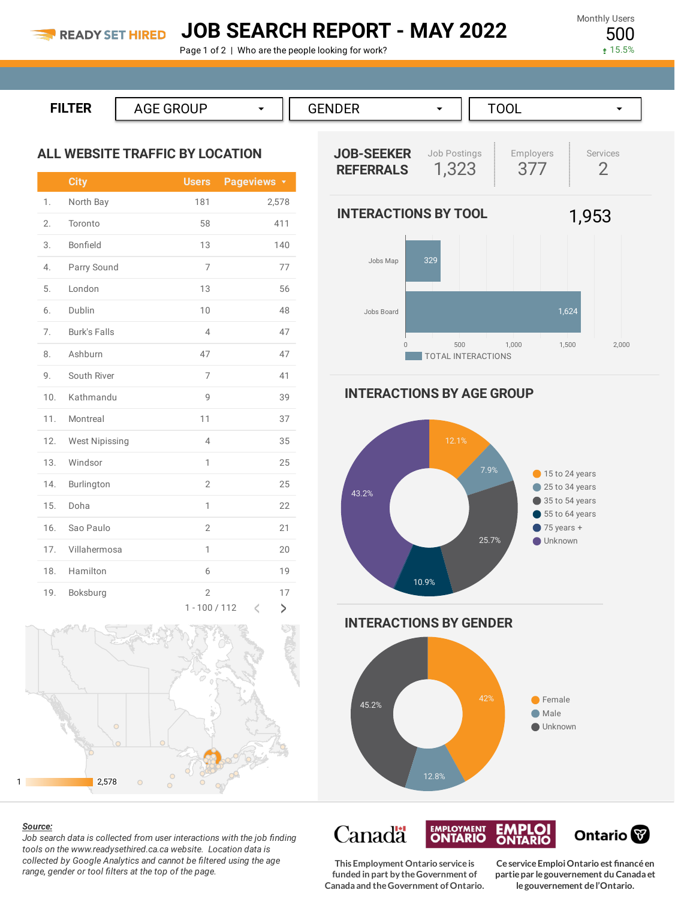## **JOB SEARCH REPORT - MAY 2022**

Page 1 of 2 | Who are the people looking for work?

Monthly Users 500

15.5%

**FILTER** AGE GROUP ▼ GENDER → TOOL ▼

### **ALL WEBSITE TRAFFIC BY LOCATION**

|     | <b>City</b>           | <b>Users</b>                      | Pageviews <b>v</b> |
|-----|-----------------------|-----------------------------------|--------------------|
| 1.  | North Bay             | 181                               | 2,578              |
| 2.  | Toronto               | 58                                | 411                |
| 3.  | Bonfield              | 13                                | 140                |
| 4.  | Parry Sound           | 7                                 | 77                 |
| 5.  | London                | 13                                | 56                 |
| 6.  | Dublin                | 10                                | 48                 |
| 7.  | <b>Burk's Falls</b>   | $\overline{4}$                    | 47                 |
| 8.  | Ashburn               | 47                                | 47                 |
| 9.  | South River           | 7                                 | 41                 |
| 10. | Kathmandu             | 9                                 | 39                 |
| 11. | Montreal              | 11                                | 37                 |
| 12. | <b>West Nipissing</b> | $\overline{4}$                    | 35                 |
| 13. | Windsor               | 1                                 | 25                 |
| 14. | Burlington            | $\overline{2}$                    | 25                 |
| 15. | Doha                  | 1                                 | 22                 |
| 16. | Sao Paulo             | $\overline{2}$                    | 21                 |
| 17. | Villahermosa          | 1                                 | 20                 |
| 18. | Hamilton              | 6                                 | 19                 |
| 19. | Boksburg              | $\overline{2}$<br>$1 - 100 / 112$ | 17<br>K<br>>       |



#### *Source:*

*Job search data is collected from user interactions with the job finding tools on the www.readysethired.ca.ca website. Location data is collected by Google Analytics and cannot be filtered using the age range, gender or tool filters at the top of the page.*



**INTERACTIONS BY AGE GROUP**



**This Employment Ontario serviceis funded in part by theGovernment of Canada and theGovernment ofOntario.**

**EMPLOYMENT** 

**Canadä** 

**CeserviceEmploiOntario est financéen partiepar legouvernement du Canada et legouvernement del'Ontario.**

Ontario<sup>®</sup>

**EMPLOI**<br>ONTARIO